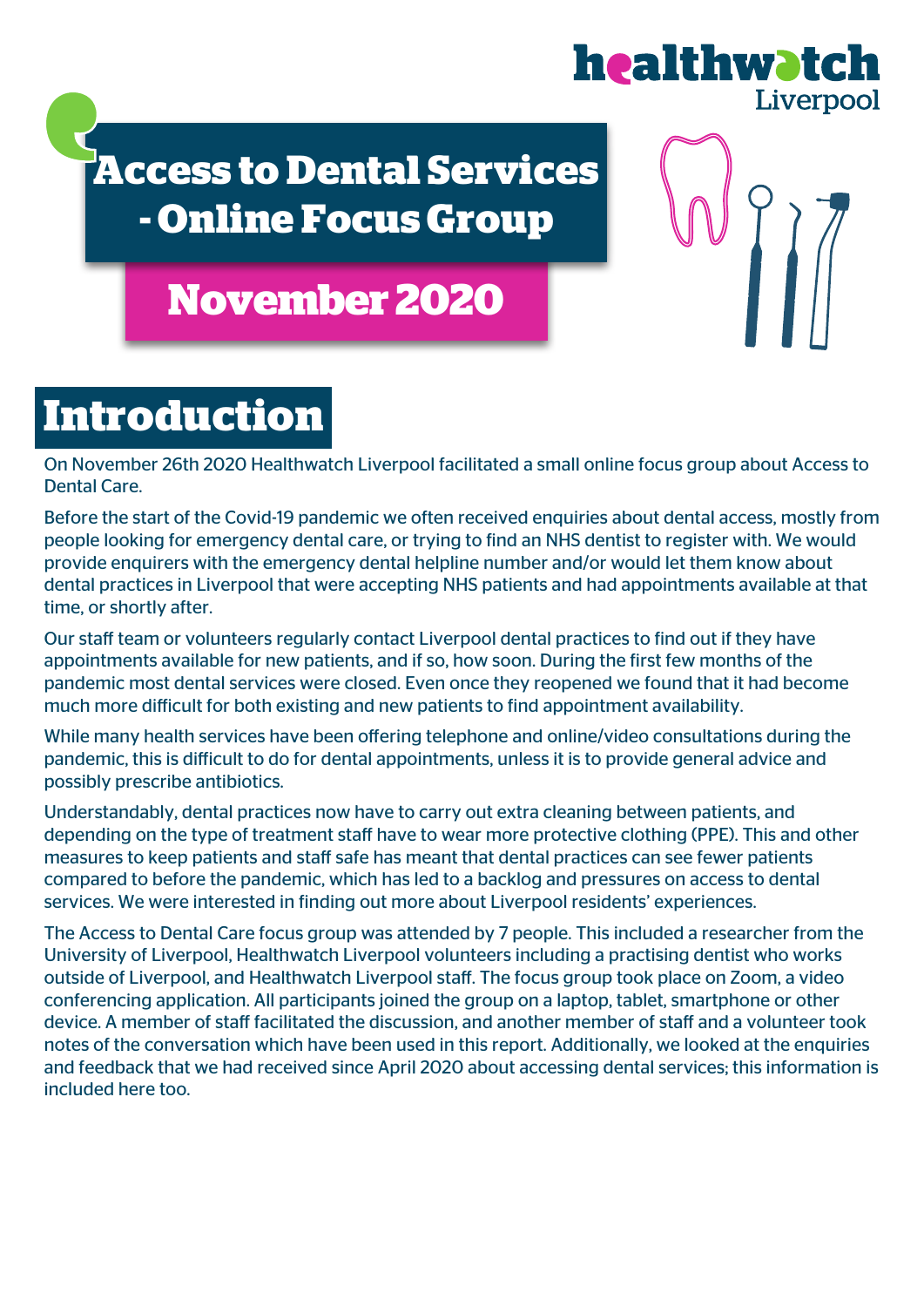

### **Access to Dental Services - Online Focus Group**

### **November 2020**

# **Introduction**

On November 26th 2020 Healthwatch Liverpool facilitated a small online focus group about Access to Dental Care.

Before the start of the Covid-19 pandemic we often received enquiries about dental access, mostly from people looking for emergency dental care, or trying to find an NHS dentist to register with. We would provide enquirers with the emergency dental helpline number and/or would let them know about dental practices in Liverpool that were accepting NHS patients and had appointments available at that time, or shortly after.

Our staff team or volunteers regularly contact Liverpool dental practices to find out if they have appointments available for new patients, and if so, how soon. During the first few months of the pandemic most dental services were closed. Even once they reopened we found that it had become much more difficult for both existing and new patients to find appointment availability.

While many health services have been offering telephone and online/video consultations during the pandemic, this is difficult to do for dental appointments, unless it is to provide general advice and possibly prescribe antibiotics.

Understandably, dental practices now have to carry out extra cleaning between patients, and depending on the type of treatment staff have to wear more protective clothing (PPE). This and other measures to keep patients and staff safe has meant that dental practices can see fewer patients compared to before the pandemic, which has led to a backlog and pressures on access to dental services. We were interested in finding out more about Liverpool residents' experiences.

The Access to Dental Care focus group was attended by 7 people. This included a researcher from the University of Liverpool, Healthwatch Liverpool volunteers including a practising dentist who works outside of Liverpool, and Healthwatch Liverpool staff. The focus group took place on Zoom, a video conferencing application. All participants joined the group on a laptop, tablet, smartphone or other device. A member of staff facilitated the discussion, and another member of staff and a volunteer took notes of the conversation which have been used in this report. Additionally, we looked at the enquiries and feedback that we had received since April 2020 about accessing dental services; this information is included here too.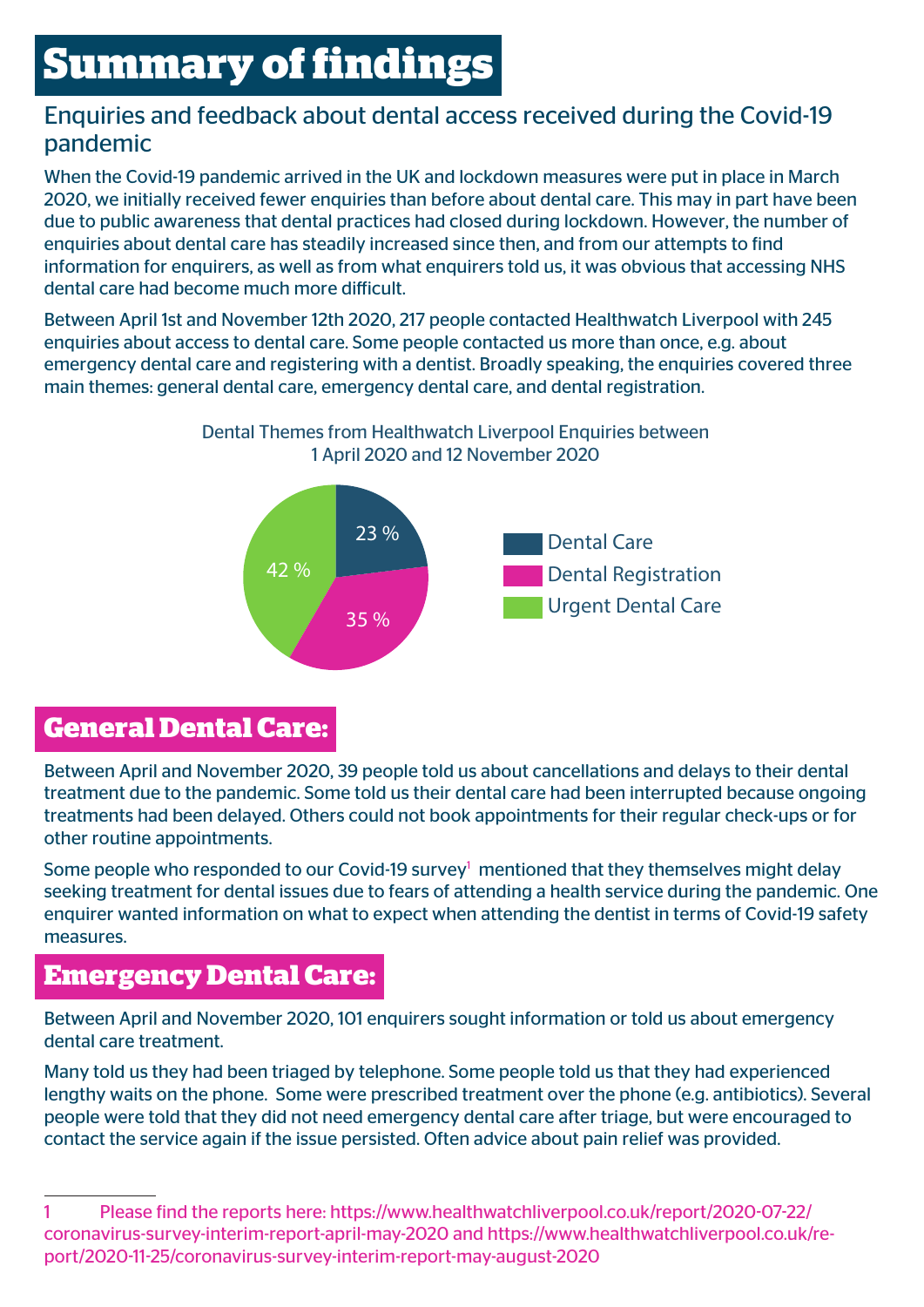### **Summary of findings**

#### Enquiries and feedback about dental access received during the Covid-19 pandemic

When the Covid-19 pandemic arrived in the UK and lockdown measures were put in place in March 2020, we initially received fewer enquiries than before about dental care. This may in part have been due to public awareness that dental practices had closed during lockdown. However, the number of enquiries about dental care has steadily increased since then, and from our attempts to find information for enquirers, as well as from what enquirers told us, it was obvious that accessing NHS dental care had become much more difficult.

Between April 1st and November 12th 2020, 217 people contacted Healthwatch Liverpool with 245 enquiries about access to dental care. Some people contacted us more than once, e.g. about emergency dental care and registering with a dentist. Broadly speaking, the enquiries covered three main themes: general dental care, emergency dental care, and dental registration.





#### **General Dental Care:**

Between April and November 2020, 39 people told us about cancellations and delays to their dental treatment due to the pandemic. Some told us their dental care had been interrupted because ongoing treatments had been delayed. Others could not book appointments for their regular check-ups or for other routine appointments.

Some people who responded to our Covid-19 survey<sup>1</sup> mentioned that they themselves might delay seeking treatment for dental issues due to fears of attending a health service during the pandemic. One enquirer wanted information on what to expect when attending the dentist in terms of Covid-19 safety measures.

#### **Emergency Dental Care:**

Between April and November 2020, 101 enquirers sought information or told us about emergency dental care treatment.

Many told us they had been triaged by telephone. Some people told us that they had experienced lengthy waits on the phone. Some were prescribed treatment over the phone (e.g. antibiotics). Several people were told that they did not need emergency dental care after triage, but were encouraged to contact the service again if the issue persisted. Often advice about pain relief was provided.

<sup>1</sup> Please find the reports here: https://www.healthwatchliverpool.co.uk/report/2020-07-22/ coronavirus-survey-interim-report-april-may-2020 and https://www.healthwatchliverpool.co.uk/report/2020-11-25/coronavirus-survey-interim-report-may-august-2020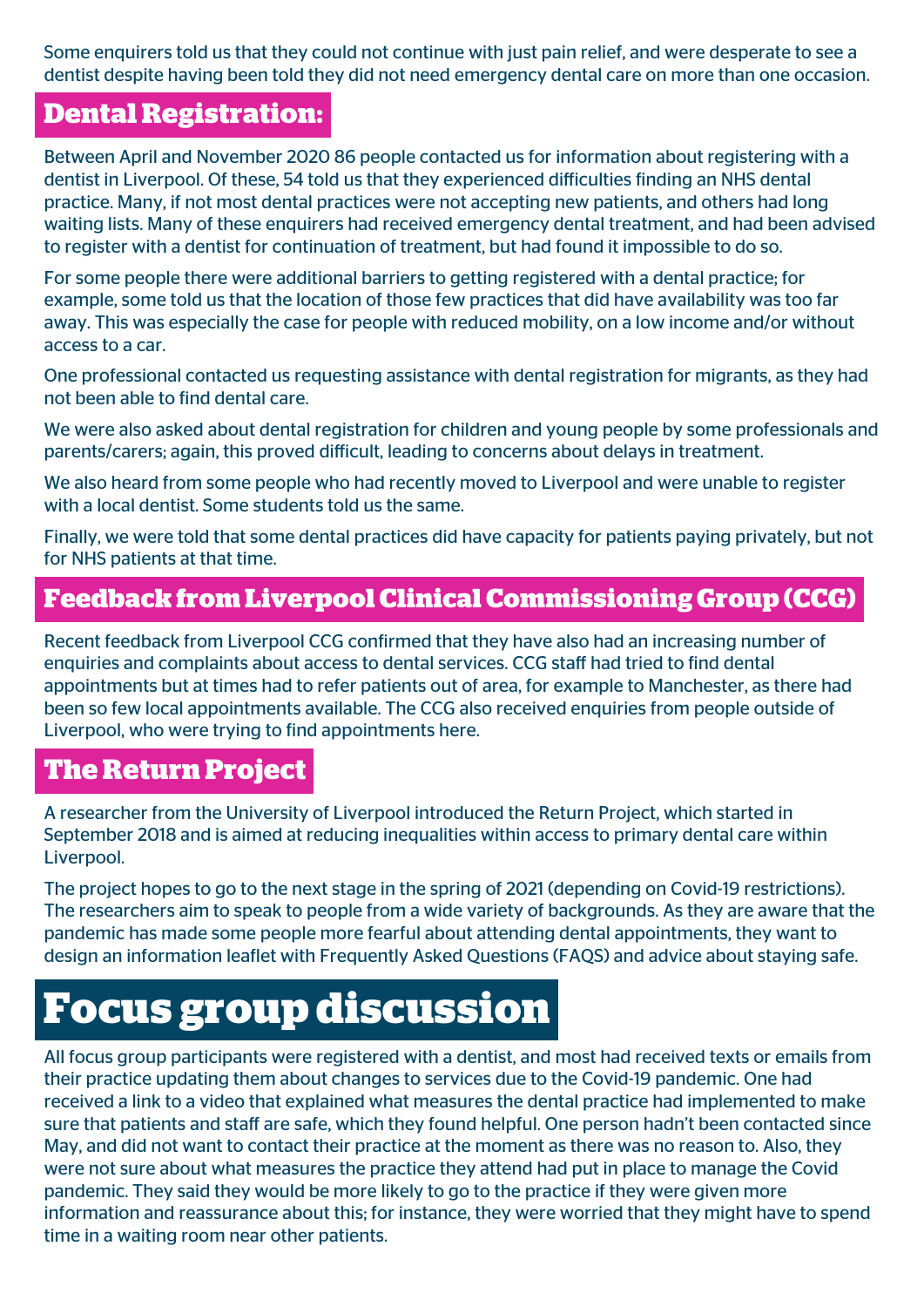Some enquirers told us that they could not continue with just pain relief, and were desperate to see a dentist despite having been told they did not need emergency dental care on more than one occasion.

#### **Dental Registration:**

Between April and November 2020 86 people contacted us for information about registering with a dentist in Liverpool. Of these, 54 told us that they experienced difficulties finding an NHS dental practice. Many, if not most dental practices were not accepting new patients, and others had long waiting lists. Many of these enquirers had received emergency dental treatment, and had been advised to register with a dentist for continuation of treatment, but had found it impossible to do so.

For some people there were additional barriers to getting registered with a dental practice; for example, some told us that the location of those few practices that did have availability was too far away. This was especially the case for people with reduced mobility, on a low income and/or without access to a car.

One professional contacted us requesting assistance with dental registration for migrants, as they had not been able to find dental care.

We were also asked about dental registration for children and young people by some professionals and parents/carers; again, this proved difficult, leading to concerns about delays in treatment.

We also heard from some people who had recently moved to Liverpool and were unable to register with a local dentist. Some students told us the same.

Finally, we were told that some dental practices did have capacity for patients paying privately, but not for NHS patients at that time.

### **Feedback from Liverpool Clinical Commissioning Group (CCG)**

Recent feedback from Liverpool CCG confirmed that they have also had an increasing number of enquiries and complaints about access to dental services. CCG staff had tried to find dental appointments but at times had to refer patients out of area, for example to Manchester, as there had been so few local appointments available. The CCG also received enquiries from people outside of Liverpool, who were trying to find appointments here.

#### **The Return Project**

A researcher from the University of Liverpool introduced the Return Project, which started in September 2018 and is aimed at reducing inequalities within access to primary dental care within Liverpool.

The project hopes to go to the next stage in the spring of 2021 (depending on Covid-19 restrictions). The researchers aim to speak to people from a wide variety of backgrounds. As they are aware that the pandemic has made some people more fearful about attending dental appointments, they want to design an information leaflet with Frequently Asked Questions (FAQS) and advice about staying safe.

## **Focus group discussion**

All focus group participants were registered with a dentist, and most had received texts or emails from their practice updating them about changes to services due to the Covid-19 pandemic. One had received a link to a video that explained what measures the dental practice had implemented to make sure that patients and staff are safe, which they found helpful. One person hadn't been contacted since May, and did not want to contact their practice at the moment as there was no reason to. Also, they were not sure about what measures the practice they attend had put in place to manage the Covid pandemic. They said they would be more likely to go to the practice if they were given more information and reassurance about this; for instance, they were worried that they might have to spend time in a waiting room near other patients.